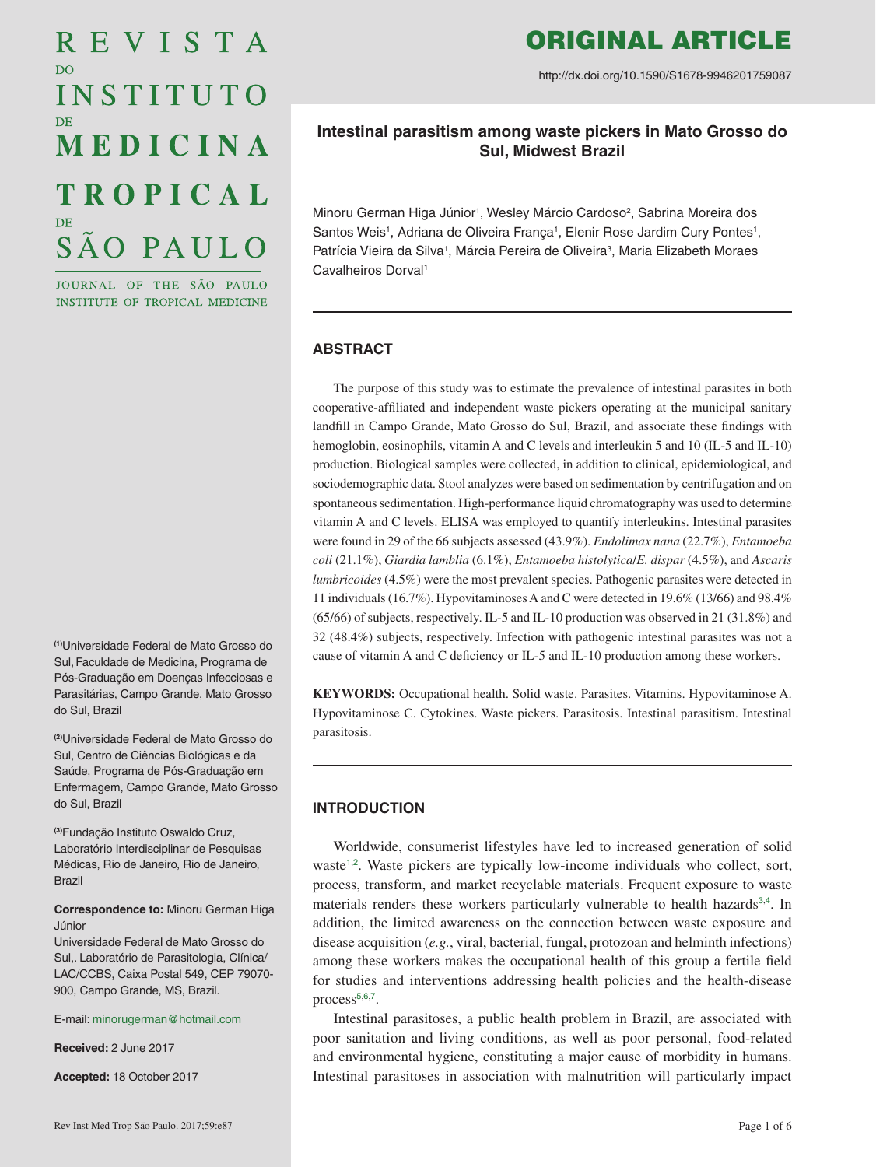# REVISTA D<sub>O</sub> INSTITUTO MEDICINA **TROPICAL** SÃO PAULO

JOURNAL OF THE SÃO PAULO **INSTITUTE OF TROPICAL MEDICINE** 

**(1)**Universidade Federal de Mato Grosso do Sul,Faculdade de Medicina, Programa de Pós-Graduação em Doenças Infecciosas e Parasitárias, Campo Grande, Mato Grosso do Sul, Brazil

**(2)**Universidade Federal de Mato Grosso do Sul, Centro de Ciências Biológicas e da Saúde, Programa de Pós-Graduação em Enfermagem, Campo Grande, Mato Grosso do Sul, Brazil

**(3)**Fundação Instituto Oswaldo Cruz, Laboratório Interdisciplinar de Pesquisas Médicas, Rio de Janeiro, Rio de Janeiro, Brazil

**Correspondence to:** Minoru German Higa Júnior

Universidade Federal de Mato Grosso do Sul,. Laboratório de Parasitologia, Clínica/ LAC/CCBS, Caixa Postal 549, CEP 79070- 900, Campo Grande, MS, Brazil.

E-mail: [minorugerman@hotmail.com](mailto:minorugerman%40hotmail.com?subject=)

**Received:** 2 June 2017

**Accepted:** 18 October 2017

# ORIGINAL ARTICLE

http://dx.doi.org/10.1590/S1678-9946201759087

# **Intestinal parasitism among waste pickers in Mato Grosso do Sul, Midwest Brazil**

Minoru German Higa Júnior<sup>1</sup>, Wesley Márcio Cardoso<sup>2</sup>, Sabrina Moreira dos Santos Weis<sup>1</sup>, Adriana de Oliveira França<sup>1</sup>, Elenir Rose Jardim Cury Pontes<sup>1</sup>, Patrícia Vieira da Silva<sup>1</sup>, Márcia Pereira de Oliveira<sup>3</sup>, Maria Elizabeth Moraes Cavalheiros Dorval1

# **ABSTRACT**

The purpose of this study was to estimate the prevalence of intestinal parasites in both cooperative-affiliated and independent waste pickers operating at the municipal sanitary landfill in Campo Grande, Mato Grosso do Sul, Brazil, and associate these findings with hemoglobin, eosinophils, vitamin A and C levels and interleukin 5 and 10 (IL-5 and IL-10) production. Biological samples were collected, in addition to clinical, epidemiological, and sociodemographic data. Stool analyzes were based on sedimentation by centrifugation and on spontaneous sedimentation. High-performance liquid chromatography was used to determine vitamin A and C levels. ELISA was employed to quantify interleukins. Intestinal parasites were found in 29 of the 66 subjects assessed (43.9%). *Endolimax nana* (22.7%), *Entamoeba coli* (21.1%), *Giardia lamblia* (6.1%), *Entamoeba histolytica*/*E. dispar* (4.5%), and *Ascaris lumbricoides* (4.5%) were the most prevalent species. Pathogenic parasites were detected in 11 individuals (16.7%). Hypovitaminoses A and C were detected in 19.6% (13/66) and 98.4% (65/66) of subjects, respectively. IL-5 and IL-10 production was observed in 21 (31.8%) and 32 (48.4%) subjects, respectively. Infection with pathogenic intestinal parasites was not a cause of vitamin A and C deficiency or IL-5 and IL-10 production among these workers.

**KEYWORDS:** Occupational health. Solid waste. Parasites. Vitamins. Hypovitaminose A. Hypovitaminose C. Cytokines. Waste pickers. Parasitosis. Intestinal parasitism. Intestinal parasitosis.

# **INTRODUCTION**

<span id="page-0-3"></span><span id="page-0-2"></span><span id="page-0-1"></span><span id="page-0-0"></span>Worldwide, consumerist lifestyles have led to increased generation of solid waste<sup>[1](#page-5-0),[2](#page-5-0)</sup>. Waste pickers are typically low-income individuals who collect, sort, process, transform, and market recyclable materials. Frequent exposure to waste materials renders these workers particularly vulnerable to health hazards<sup>[3](#page-5-0),[4](#page-5-0)</sup>. In addition, the limited awareness on the connection between waste exposure and disease acquisition (*e.g.*, viral, bacterial, fungal, protozoan and helminth infections) among these workers makes the occupational health of this group a fertile field for studies and interventions addressing health policies and the health-disease process<sup>[5](#page-5-0),[6](#page-5-0),[7](#page-5-0)</sup>.

<span id="page-0-6"></span><span id="page-0-5"></span><span id="page-0-4"></span>Intestinal parasitoses, a public health problem in Brazil, are associated with poor sanitation and living conditions, as well as poor personal, food-related and environmental hygiene, constituting a major cause of morbidity in humans. Intestinal parasitoses in association with malnutrition will particularly impact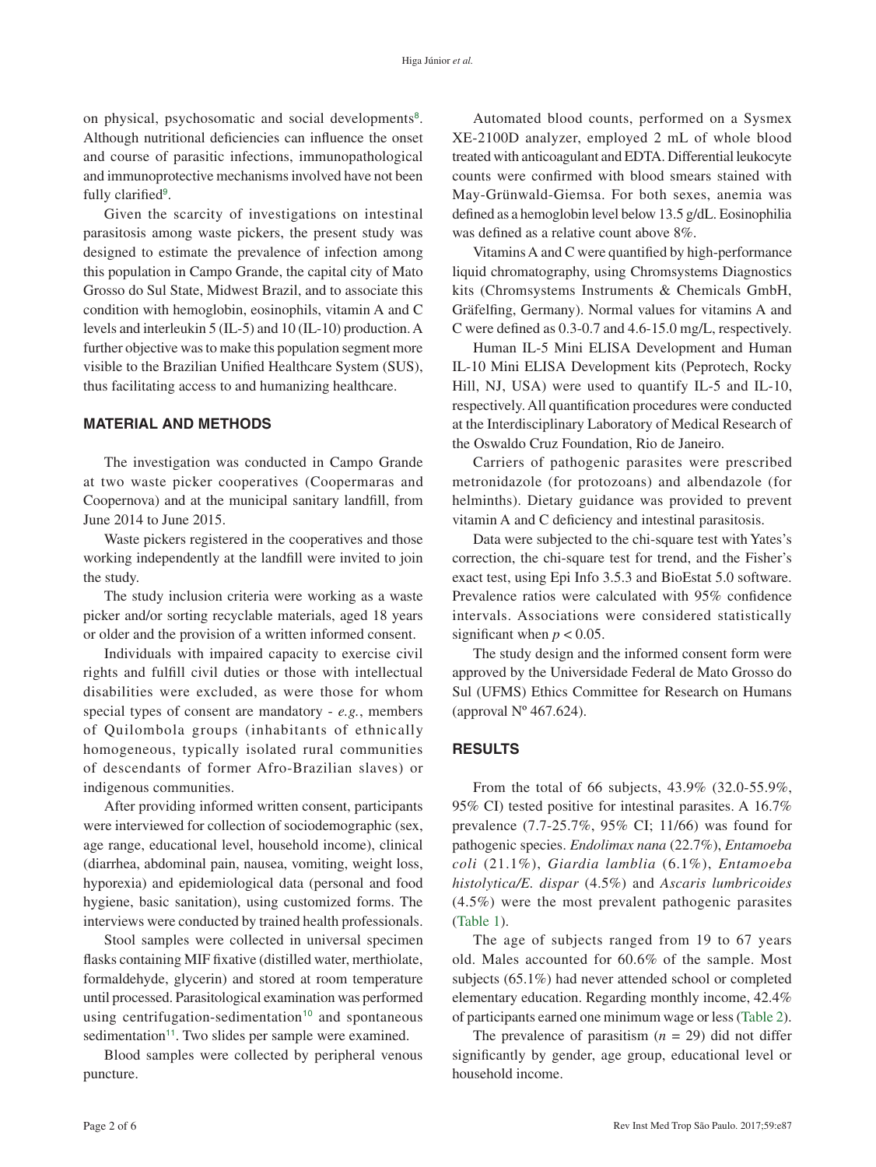<span id="page-1-2"></span>on physical, psychosomatic and social developments<sup>[8](#page-5-0)</sup>. Although nutritional deficiencies can influence the onset and course of parasitic infections, immunopathological and immunoprotective mechanisms involved have not been fully clarified<sup>[9](#page-5-0)</sup>.

<span id="page-1-3"></span>Given the scarcity of investigations on intestinal parasitosis among waste pickers, the present study was designed to estimate the prevalence of infection among this population in Campo Grande, the capital city of Mato Grosso do Sul State, Midwest Brazil, and to associate this condition with hemoglobin, eosinophils, vitamin A and C levels and interleukin 5 (IL-5) and 10 (IL-10) production. A further objective was to make this population segment more visible to the Brazilian Unified Healthcare System (SUS), thus facilitating access to and humanizing healthcare.

#### **MATERIAL AND METHODS**

The investigation was conducted in Campo Grande at two waste picker cooperatives (Coopermaras and Coopernova) and at the municipal sanitary landfill, from June 2014 to June 2015.

Waste pickers registered in the cooperatives and those working independently at the landfill were invited to join the study.

The study inclusion criteria were working as a waste picker and/or sorting recyclable materials, aged 18 years or older and the provision of a written informed consent.

Individuals with impaired capacity to exercise civil rights and fulfill civil duties or those with intellectual disabilities were excluded, as were those for whom special types of consent are mandatory - *e.g.*, members of Quilombola groups (inhabitants of ethnically homogeneous, typically isolated rural communities of descendants of former Afro-Brazilian slaves) or indigenous communities.

After providing informed written consent, participants were interviewed for collection of sociodemographic (sex, age range, educational level, household income), clinical (diarrhea, abdominal pain, nausea, vomiting, weight loss, hyporexia) and epidemiological data (personal and food hygiene, basic sanitation), using customized forms. The interviews were conducted by trained health professionals.

Stool samples were collected in universal specimen flasks containing MIF fixative (distilled water, merthiolate, formaldehyde, glycerin) and stored at room temperature until processed. Parasitological examination was performed using centrifugation-sedimentation<sup>[10](#page-5-0)</sup> and spontaneous sedimentation<sup>[11](#page-5-0)</sup>. Two slides per sample were examined.

<span id="page-1-5"></span><span id="page-1-4"></span>Blood samples were collected by peripheral venous puncture.

Automated blood counts, performed on a Sysmex XE-2100D analyzer, employed 2 mL of whole blood treated with anticoagulant and EDTA. Differential leukocyte counts were confirmed with blood smears stained with May-Grünwald-Giemsa. For both sexes, anemia was defined as a hemoglobin level below 13.5 g/dL. Eosinophilia was defined as a relative count above 8%.

Vitamins A and C were quantified by high-performance liquid chromatography, using Chromsystems Diagnostics kits (Chromsystems Instruments & Chemicals GmbH, Gräfelfing, Germany). Normal values for vitamins A and C were defined as 0.3-0.7 and 4.6-15.0 mg/L, respectively.

Human IL-5 Mini ELISA Development and Human IL-10 Mini ELISA Development kits (Peprotech, Rocky Hill, NJ, USA) were used to quantify IL-5 and IL-10, respectively. All quantification procedures were conducted at the Interdisciplinary Laboratory of Medical Research of the Oswaldo Cruz Foundation, Rio de Janeiro.

Carriers of pathogenic parasites were prescribed metronidazole (for protozoans) and albendazole (for helminths). Dietary guidance was provided to prevent vitamin A and C deficiency and intestinal parasitosis.

Data were subjected to the chi-square test with Yates's correction, the chi-square test for trend, and the Fisher's exact test, using Epi Info 3.5.3 and BioEstat 5.0 software. Prevalence ratios were calculated with 95% confidence intervals. Associations were considered statistically significant when  $p < 0.05$ .

The study design and the informed consent form were approved by the Universidade Federal de Mato Grosso do Sul (UFMS) Ethics Committee for Research on Humans (approval  $N^{\circ}$  467.624).

#### **RESULTS**

From the total of 66 subjects, 43.9% (32.0-55.9%, 95% CI) tested positive for intestinal parasites. A 16.7% prevalence (7.7-25.7%, 95% CI; 11/66) was found for pathogenic species. *Endolimax nana* (22.7%), *Entamoeba coli* (21.1%), *Giardia lamblia* (6.1%), *Entamoeba histolytica/E. dispar* (4.5%) and *Ascaris lumbricoides*  (4.5%) were the most prevalent pathogenic parasites ([Table](#page-2-0) 1).

<span id="page-1-0"></span>The age of subjects ranged from 19 to 67 years old. Males accounted for 60.6% of the sample. Most subjects (65.1%) had never attended school or completed elementary education. Regarding monthly income, 42.4% of participants earned one minimum wage or less [\(Table 2\)](#page-2-0).

<span id="page-1-1"></span>The prevalence of parasitism  $(n = 29)$  did not differ significantly by gender, age group, educational level or household income.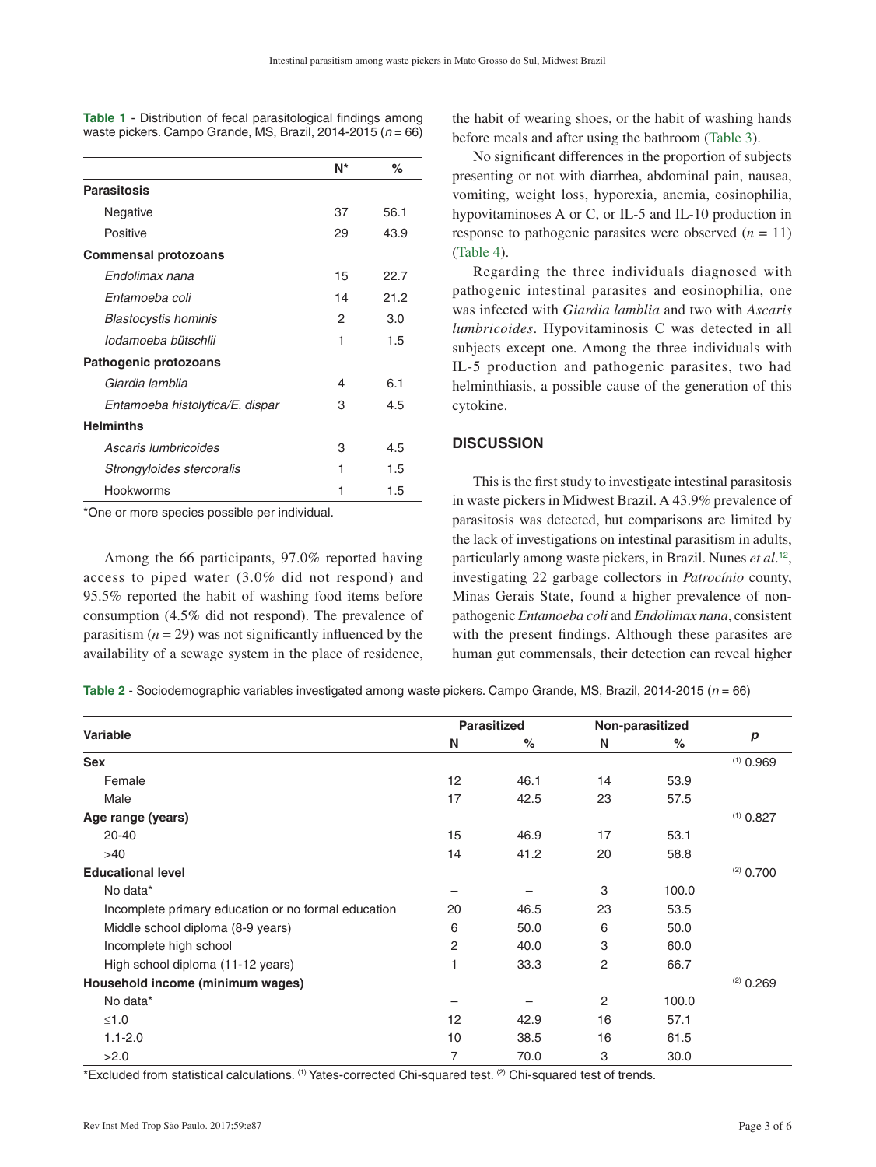|                                 | N* | %    |
|---------------------------------|----|------|
| <b>Parasitosis</b>              |    |      |
| Negative                        | 37 | 56.1 |
| Positive                        | 29 | 43.9 |
| <b>Commensal protozoans</b>     |    |      |
| Endolimax nana                  | 15 | 22.7 |
| Fntamoeba coli                  | 14 | 21.2 |
| <b>Blastocystis hominis</b>     | 2  | 3.0  |
| lodamoeba bütschlii             | 1  | 1.5  |
| Pathogenic protozoans           |    |      |
| Giardia lamblia                 | 4  | 6.1  |
| Entamoeba histolytica/E. dispar | З  | 4.5  |
| <b>Helminths</b>                |    |      |
| Ascaris lumbricoides            | 3  | 4.5  |
| Strongyloides stercoralis       | 1  | 1.5  |
| Hookworms                       | 1  | 1.5  |

<span id="page-2-0"></span>**Table 1** - Distribution of fecal parasitological findings among [waste pickers. Campo Grande, MS, Brazil, 2014-2015 \(](#page-1-0)*n* = 66)

\*One or more species possible per individual.

Among the 66 participants, 97.0% reported having access to piped water (3.0% did not respond) and 95.5% reported the habit of washing food items before consumption (4.5% did not respond). The prevalence of parasitism  $(n = 29)$  was not significantly influenced by the availability of a sewage system in the place of residence,

<span id="page-2-1"></span>the habit of wearing shoes, or the habit of washing hands before meals and after using the bathroom [\(Table 3\)](#page-3-0).

No significant differences in the proportion of subjects presenting or not with diarrhea, abdominal pain, nausea, vomiting, weight loss, hyporexia, anemia, eosinophilia, hypovitaminoses A or C, or IL-5 and IL-10 production in response to pathogenic parasites were observed  $(n = 11)$ ([Table 4](#page-3-0)).

<span id="page-2-2"></span>Regarding the three individuals diagnosed with pathogenic intestinal parasites and eosinophilia, one was infected with *Giardia lamblia* and two with *Ascaris lumbricoides*. Hypovitaminosis C was detected in all subjects except one. Among the three individuals with IL-5 production and pathogenic parasites, two had helminthiasis, a possible cause of the generation of this cytokine.

#### **DISCUSSION**

<span id="page-2-3"></span>This is the first study to investigate intestinal parasitosis in waste pickers in Midwest Brazil. A 43.9% prevalence of parasitosis was detected, but comparisons are limited by the lack of investigations on intestinal parasitism in adults, particularly among waste pickers, in Brazil. Nunes *et al*. [12](#page-5-0), investigating 22 garbage collectors in *Patrocínio* county, Minas Gerais State, found a higher prevalence of nonpathogenic *Entamoeba coli* and *Endolimax nana*, consistent with the present findings. Although these parasites are human gut commensals, their detection can reveal higher

**Table 2** [- Sociodemographic variables investigated among waste pickers. Campo Grande, MS, Brazil, 2014-2015 \(](#page-1-1)*n* = 66)

| <b>Variable</b>                                     | <b>Parasitized</b> |      | Non-parasitized |       |             |
|-----------------------------------------------------|--------------------|------|-----------------|-------|-------------|
|                                                     | N                  | $\%$ | N               | $\%$  | p           |
| <b>Sex</b>                                          |                    |      |                 |       | $(1)$ 0.969 |
| Female                                              | 12 <sup>2</sup>    | 46.1 | 14              | 53.9  |             |
| Male                                                | 17                 | 42.5 | 23              | 57.5  |             |
| Age range (years)                                   |                    |      |                 |       | $(1)$ 0.827 |
| $20 - 40$                                           | 15                 | 46.9 | 17              | 53.1  |             |
| >40                                                 | 14                 | 41.2 | 20              | 58.8  |             |
| <b>Educational level</b>                            |                    |      |                 |       | $(2)$ 0.700 |
| No data*                                            |                    |      | 3               | 100.0 |             |
| Incomplete primary education or no formal education | 20                 | 46.5 | 23              | 53.5  |             |
| Middle school diploma (8-9 years)                   | 6                  | 50.0 | 6               | 50.0  |             |
| Incomplete high school                              | 2                  | 40.0 | 3               | 60.0  |             |
| High school diploma (11-12 years)                   |                    | 33.3 | 2               | 66.7  |             |
| Household income (minimum wages)                    |                    |      |                 |       | $(2)$ 0.269 |
| No data*                                            |                    |      | 2               | 100.0 |             |
| $≤1.0$                                              | 12                 | 42.9 | 16              | 57.1  |             |
| $1.1 - 2.0$                                         | 10                 | 38.5 | 16              | 61.5  |             |
| >2.0                                                | 7                  | 70.0 | 3               | 30.0  |             |

\*Excluded from statistical calculations. (1) Yates-corrected Chi-squared test. (2) Chi-squared test of trends.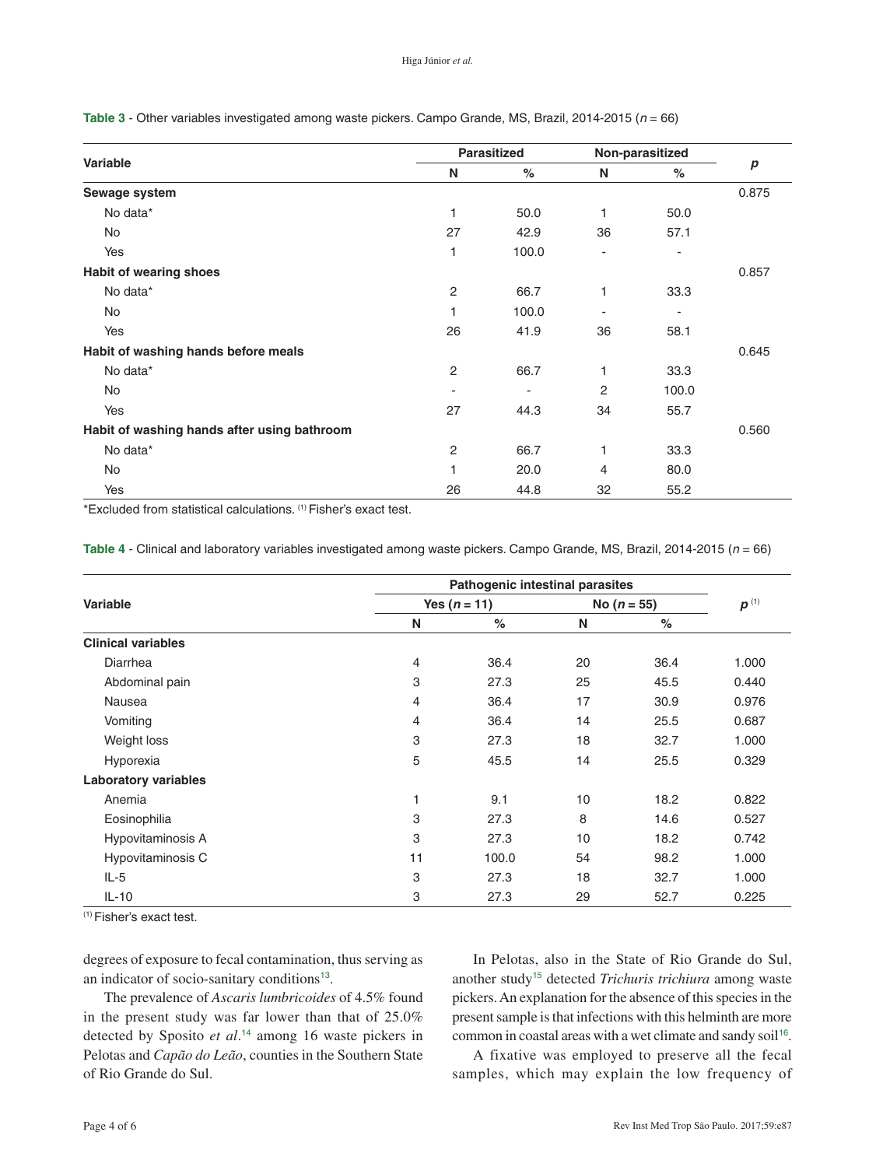<span id="page-3-0"></span>**Table 3** [- Other variables investigated among waste pickers. Campo Grande, MS, Brazil, 2014-2015 \(](#page-2-1)*n* = 66)

| Variable                                    | <b>Parasitized</b>       |                | Non-parasitized |       |                  |
|---------------------------------------------|--------------------------|----------------|-----------------|-------|------------------|
|                                             | N                        | $\%$           | N               | $\%$  | $\boldsymbol{p}$ |
| Sewage system                               |                          |                |                 |       | 0.875            |
| No data*                                    | 1                        | 50.0           | 1               | 50.0  |                  |
| No                                          | 27                       | 42.9           | 36              | 57.1  |                  |
| Yes                                         | 1                        | 100.0          |                 |       |                  |
| Habit of wearing shoes                      |                          |                |                 |       | 0.857            |
| No data*                                    | $\mathbf{2}$             | 66.7           | 1               | 33.3  |                  |
| No                                          | 1                        | 100.0          |                 | -     |                  |
| Yes                                         | 26                       | 41.9           | 36              | 58.1  |                  |
| Habit of washing hands before meals         |                          |                |                 |       | 0.645            |
| No data*                                    | 2                        | 66.7           | 1               | 33.3  |                  |
| No                                          | $\overline{\phantom{a}}$ | $\blacksquare$ | 2               | 100.0 |                  |
| Yes                                         | 27                       | 44.3           | 34              | 55.7  |                  |
| Habit of washing hands after using bathroom |                          |                |                 |       | 0.560            |
| No data*                                    | $\mathbf{2}$             | 66.7           | 1               | 33.3  |                  |
| No                                          | 1                        | 20.0           | $\overline{4}$  | 80.0  |                  |
| Yes                                         | 26                       | 44.8           | 32              | 55.2  |                  |

\*Excluded from statistical calculations. (1) Fisher's exact test.

**Table 4** [- Clinical and laboratory variables investigated among waste pickers. Campo Grande, MS, Brazil, 2014-2015 \(](#page-2-2)*n* = 66)

| <b>Variable</b>             | <b>Pathogenic intestinal parasites</b> |                |    |               |       |
|-----------------------------|----------------------------------------|----------------|----|---------------|-------|
|                             |                                        | Yes $(n = 11)$ |    | No $(n = 55)$ |       |
|                             | N                                      | %              | N  | $\%$          |       |
| <b>Clinical variables</b>   |                                        |                |    |               |       |
| Diarrhea                    | 4                                      | 36.4           | 20 | 36.4          | 1.000 |
| Abdominal pain              | 3                                      | 27.3           | 25 | 45.5          | 0.440 |
| Nausea                      | 4                                      | 36.4           | 17 | 30.9          | 0.976 |
| Vomiting                    | 4                                      | 36.4           | 14 | 25.5          | 0.687 |
| Weight loss                 | 3                                      | 27.3           | 18 | 32.7          | 1.000 |
| Hyporexia                   | 5                                      | 45.5           | 14 | 25.5          | 0.329 |
| <b>Laboratory variables</b> |                                        |                |    |               |       |
| Anemia                      |                                        | 9.1            | 10 | 18.2          | 0.822 |
| Eosinophilia                | 3                                      | 27.3           | 8  | 14.6          | 0.527 |
| Hypovitaminosis A           | 3                                      | 27.3           | 10 | 18.2          | 0.742 |
| Hypovitaminosis C           | 11                                     | 100.0          | 54 | 98.2          | 1.000 |
| $IL-5$                      | 3                                      | 27.3           | 18 | 32.7          | 1.000 |
| $IL-10$                     | 3                                      | 27.3           | 29 | 52.7          | 0.225 |

(1) Fisher's exact test.

<span id="page-3-1"></span>degrees of exposure to fecal contamination, thus serving as an indicator of socio-sanitary conditions<sup>[13](#page-5-0)</sup>.

The prevalence of *Ascaris lumbricoides* of 4.5% found in the present study was far lower than that of 25.0% detected by Sposito *et al*. [14](#page-5-0) among 16 waste pickers in Pelotas and *Capão do Leão*, counties in the Southern State of Rio Grande do Sul.

<span id="page-3-3"></span>In Pelotas, also in the State of Rio Grande do Sul, another study[15](#page-5-0) detected *Trichuris trichiura* among waste pickers. An explanation for the absence of this species in the present sample is that infections with this helminth are more common in coastal areas with a wet climate and sandy soil<sup>[16](#page-5-0)</sup>.

<span id="page-3-4"></span><span id="page-3-2"></span>A fixative was employed to preserve all the fecal samples, which may explain the low frequency of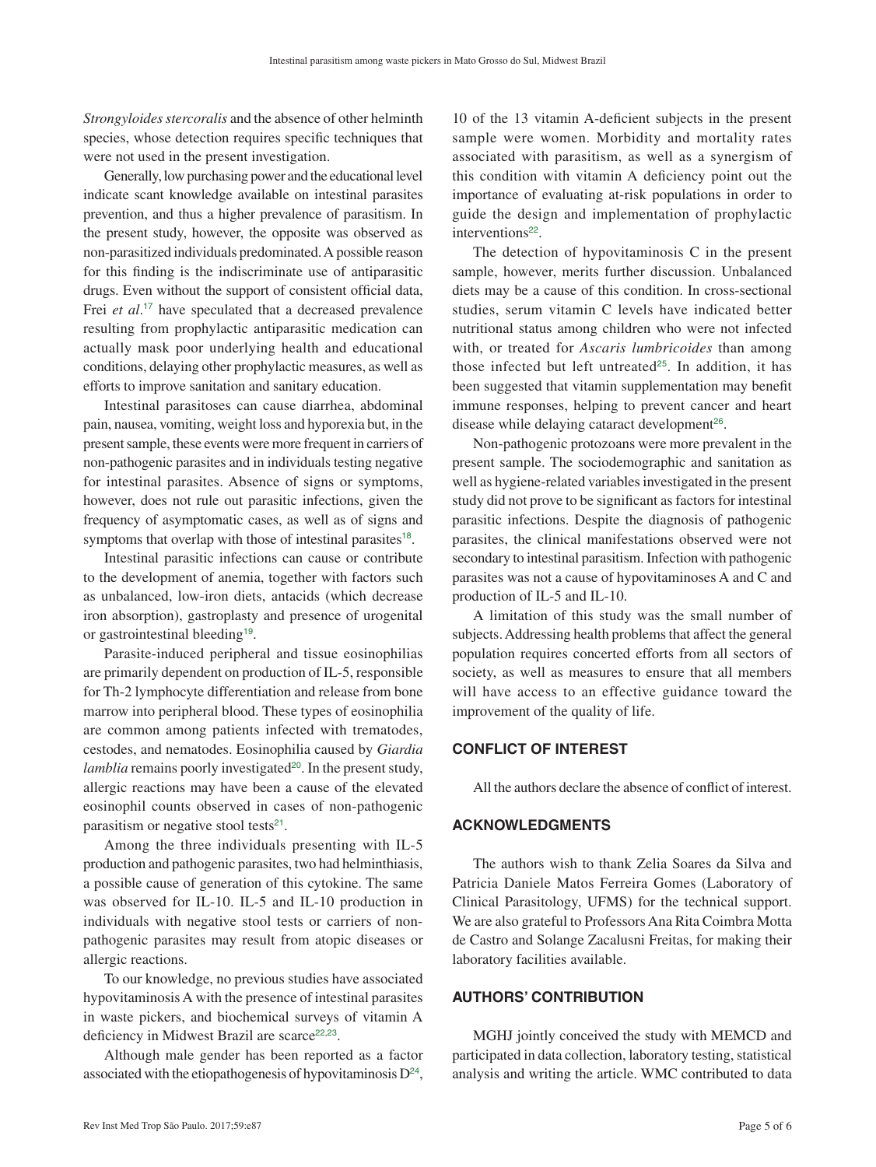*Strongyloides stercoralis* and the absence of other helminth species, whose detection requires specific techniques that were not used in the present investigation.

Generally, low purchasing power and the educational level indicate scant knowledge available on intestinal parasites prevention, and thus a higher prevalence of parasitism. In the present study, however, the opposite was observed as non-parasitized individuals predominated. A possible reason for this finding is the indiscriminate use of antiparasitic drugs. Even without the support of consistent official data, Frei *et al*. [17](#page-5-0) have speculated that a decreased prevalence resulting from prophylactic antiparasitic medication can actually mask poor underlying health and educational conditions, delaying other prophylactic measures, as well as efforts to improve sanitation and sanitary education.

<span id="page-4-0"></span>Intestinal parasitoses can cause diarrhea, abdominal pain, nausea, vomiting, weight loss and hyporexia but, in the present sample, these events were more frequent in carriers of non-pathogenic parasites and in individuals testing negative for intestinal parasites. Absence of signs or symptoms, however, does not rule out parasitic infections, given the frequency of asymptomatic cases, as well as of signs and symptoms that overlap with those of intestinal parasites<sup>[18](#page-5-0)</sup>.

Intestinal parasitic infections can cause or contribute to the development of anemia, together with factors such as unbalanced, low-iron diets, antacids (which decrease iron absorption), gastroplasty and presence of urogenital or gastrointestinal bleeding<sup>[19](#page-5-0)</sup>.

<span id="page-4-2"></span>Parasite-induced peripheral and tissue eosinophilias are primarily dependent on production of IL-5, responsible for Th-2 lymphocyte differentiation and release from bone marrow into peripheral blood. These types of eosinophilia are common among patients infected with trematodes, cestodes, and nematodes. Eosinophilia caused by *Giardia lamblia* remains poorly investigated<sup>[20](#page-5-0)</sup>. In the present study, allergic reactions may have been a cause of the elevated eosinophil counts observed in cases of non-pathogenic parasitism or negative stool tests $21$ .

<span id="page-4-4"></span>Among the three individuals presenting with IL-5 production and pathogenic parasites, two had helminthiasis, a possible cause of generation of this cytokine. The same was observed for IL-10. IL-5 and IL-10 production in individuals with negative stool tests or carriers of nonpathogenic parasites may result from atopic diseases or allergic reactions.

To our knowledge, no previous studies have associated hypovitaminosis A with the presence of intestinal parasites in waste pickers, and biochemical surveys of vitamin A deficiency in Midwest Brazil are scarce<sup>[22](#page-5-0),[23](#page-5-0)</sup>.

<span id="page-4-7"></span>Although male gender has been reported as a factor associated with the etiopathogenesis of hypovitaminosis  $D^{24}$  $D^{24}$  $D^{24}$ ,

10 of the 13 vitamin A-deficient subjects in the present sample were women. Morbidity and mortality rates associated with parasitism, as well as a synergism of this condition with vitamin A deficiency point out the importance of evaluating at-risk populations in order to guide the design and implementation of prophylactic interventions<sup>[22](#page-5-0)</sup>.

The detection of hypovitaminosis C in the present sample, however, merits further discussion. Unbalanced diets may be a cause of this condition. In cross-sectional studies, serum vitamin C levels have indicated better nutritional status among children who were not infected with, or treated for *Ascaris lumbricoides* than among those infected but left untreated $25$ . In addition, it has been suggested that vitamin supplementation may benefit immune responses, helping to prevent cancer and heart disease while delaying cataract development<sup>[26](#page-5-0)</sup>.

<span id="page-4-9"></span><span id="page-4-8"></span>Non-pathogenic protozoans were more prevalent in the present sample. The sociodemographic and sanitation as well as hygiene-related variables investigated in the present study did not prove to be significant as factors for intestinal parasitic infections. Despite the diagnosis of pathogenic parasites, the clinical manifestations observed were not secondary to intestinal parasitism. Infection with pathogenic parasites was not a cause of hypovitaminoses A and C and production of IL-5 and IL-10.

<span id="page-4-1"></span>A limitation of this study was the small number of subjects. Addressing health problems that affect the general population requires concerted efforts from all sectors of society, as well as measures to ensure that all members will have access to an effective guidance toward the improvement of the quality of life.

## **CONFLICT OF INTEREST**

<span id="page-4-3"></span>All the authors declare the absence of conflict of interest.

# **ACKNOWLEDGMENTS**

The authors wish to thank Zelia Soares da Silva and Patricia Daniele Matos Ferreira Gomes (Laboratory of Clinical Parasitology, UFMS) for the technical support. We are also grateful to Professors Ana Rita Coimbra Motta de Castro and Solange Zacalusni Freitas, for making their laboratory facilities available.

## **AUTHORS' CONTRIBUTION**

<span id="page-4-6"></span><span id="page-4-5"></span>MGHJ jointly conceived the study with MEMCD and participated in data collection, laboratory testing, statistical analysis and writing the article. WMC contributed to data